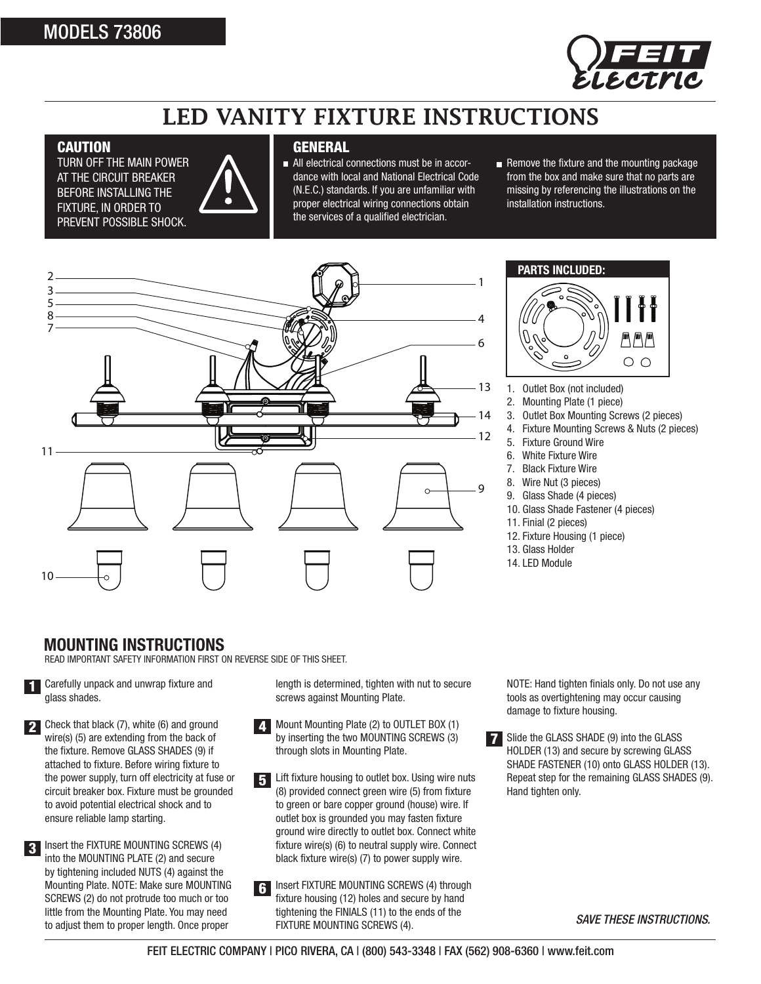## MODELS 73806



# LED VANITY FIXTURE INSTRUCTIONS

#### **CAUTION**

TURN OFF THE MAIN POWER **AT THE CIRCUIT BREAKER** BEFORE INSTALLING THE FIXTURE, IN ORDER TO PREVENT POSSIBLE SHOCK.



### **GENERAL**

- All electrical connections must be in accordance with local and National Electrical Code (N.E.C.) standards. If you are unfamiliar with proper electrical wiring connections obtain the services of a qualified electrician.
- Remove the fixture and the mounting Remove the fixture and the mounting package from the box and make sure that no parts are missing by referencing the illustrations on the installation instructions.





- 1. Outlet Box (not included)
- 2. Mounting Plate (1 piece)
- 3. Outlet Box Mounting Screws (2 pieces)
- 4. Fixture Mounting Screws & Nuts (2 pieces)
- 5. Fixture Ground Wire
- 6. White Fixture Wire
- 7. Black Fixture Wire
- 8. Wire Nut (3 pieces)
- 9. Glass Shade (4 pieces)
- 10. Glass Shade Fastener (4 pieces)
- 11. Finial (2 pieces)
- 12. Fixture Housing (1 piece)
- 13. Glass Holder
- 14. LED Module

### **MOUNTING INSTRUCTIONS**

READ IMPORTANT SAFETY INFORMATION FIRST ON REVERSE SIDE OF THIS SHEET.

Carefully unpack and unwrap fixture and glass shades. 1

 $\sum$  Check that black (7), white (6) and ground wire(s) (5) are extending from the back of the fixture. Remove GLASS SHADES (9) if attached to fixture. Before wiring fixture to the power supply, turn off electricity at fuse or circuit breaker box. Fixture must be grounded to avoid potential electrical shock and to ensure reliable lamp starting.

 $\cdot$  Insert the FIXTURE MOUNTING SCREWS (4) into the MOUNTING PLATE (2) and secure by tightening included NUTS (4) against the Mounting Plate. NOTE: Make sure MOUNTING SCREWS (2) do not protrude too much or too little from the Mounting Plate. You may need to adjust them to proper length. Once proper

length is determined, tighten with nut to secure screws against Mounting Plate.

- 4 Mount Mounting Plate (2) to OUTLET BOX (1) by inserting the two MOUNTING SCREWS (3) through slots in Mounting Plate.
- 5 Lift fixture housing to outlet box. Using wire nuts (8) provided connect green wire (5) from fixture to green or bare copper ground (house) wire. If outlet box is grounded you may fasten fixture ground wire directly to outlet box. Connect white fixture wire(s) (6) to neutral supply wire. Connect black fixture wire(s) (7) to power supply wire.
- 6 Insert FIXTURE MOUNTING SCREWS (4) through fixture housing (12) holes and secure by hand tightening the FINIALS (11) to the ends of the FIXTURE MOUNTING SCREWS (4).

NOTE: Hand tighten finials only. Do not use any tools as overtightening may occur causing damage to fixture housing.

7 Slide the GLASS SHADE (9) into the GLASS HOLDER (13) and secure by screwing GLASS SHADE FASTENER (10) onto GLASS HOLDER (13). Repeat step for the remaining GLASS SHADES (9). Hand tighten only.

*SAVE THESE INSTRUCTIONS.*